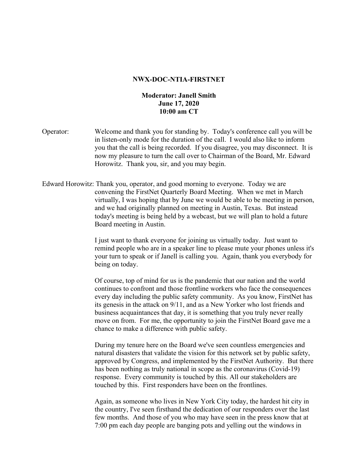## **NWX-DOC-NTIA-FIRSTNET**

## **Moderator: Janell Smith June 17, 2020 10:00 am CT**

- Operator: Welcome and thank you for standing by. Today's conference call you will be in listen-only mode for the duration of the call. I would also like to inform you that the call is being recorded. If you disagree, you may disconnect. It is now my pleasure to turn the call over to Chairman of the Board, Mr. Edward Horowitz. Thank you, sir, and you may begin.
- Edward Horowitz: Thank you, operator, and good morning to everyone. Today we are convening the FirstNet Quarterly Board Meeting. When we met in March virtually, I was hoping that by June we would be able to be meeting in person, and we had originally planned on meeting in Austin, Texas. But instead today's meeting is being held by a webcast, but we will plan to hold a future Board meeting in Austin.

I just want to thank everyone for joining us virtually today. Just want to remind people who are in a speaker line to please mute your phones unless it's your turn to speak or if Janell is calling you. Again, thank you everybody for being on today.

Of course, top of mind for us is the pandemic that our nation and the world continues to confront and those frontline workers who face the consequences every day including the public safety community. As you know, FirstNet has its genesis in the attack on 9/11, and as a New Yorker who lost friends and business acquaintances that day, it is something that you truly never really move on from. For me, the opportunity to join the FirstNet Board gave me a chance to make a difference with public safety.

During my tenure here on the Board we've seen countless emergencies and natural disasters that validate the vision for this network set by public safety, approved by Congress, and implemented by the FirstNet Authority. But there has been nothing as truly national in scope as the coronavirus (Covid-19) response. Every community is touched by this. All our stakeholders are touched by this. First responders have been on the frontlines.

Again, as someone who lives in New York City today, the hardest hit city in the country, I've seen firsthand the dedication of our responders over the last few months. And those of you who may have seen in the press know that at 7:00 pm each day people are banging pots and yelling out the windows in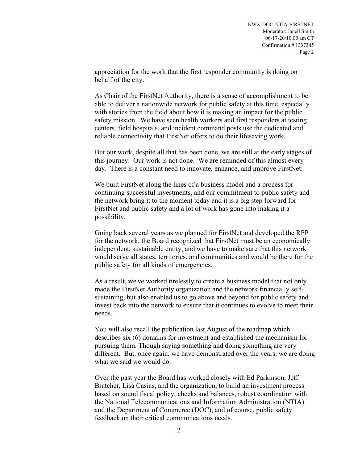appreciation for the work that the first responder community is doing on behalf of the city.

As Chair of the FirstNet Authority, there is a sense of accomplishment to be able to deliver a nationwide network for public safety at this time, especially with stories from the field about how it is making an impact for the public safety mission. We have seen health workers and first responders at testing centers, field hospitals, and incident command posts use the dedicated and reliable connectivity that FirstNet offers to do their lifesaving work.

But our work, despite all that has been done, we are still at the early stages of this journey. Our work is not done. We are reminded of this almost every day. There is a constant need to innovate, enhance, and improve FirstNet.

We built FirstNet along the lines of a business model and a process for continuing successful investments, and our commitment to public safety and the network bring it to the moment today and it is a big step forward for FirstNet and public safety and a lot of work has gone into making it a possibility.

Going back several years as we planned for FirstNet and developed the RFP for the network, the Board recognized that FirstNet must be an economically independent, sustainable entity, and we have to make sure that this network would serve all states, territories, and communities and would be there for the public safety for all kinds of emergencies.

As a result, we've worked tirelessly to create a business model that not only made the FirstNet Authority organization and the network financially selfsustaining, but also enabled us to go above and beyond for public safety and invest back into the network to ensure that it continues to evolve to meet their needs.

You will also recall the publication last August of the roadmap which describes six (6) domains for investment and established the mechanism for pursuing them. Though saying something and doing something are very different. But, once again, we have demonstrated over the years, we are doing what we said we would do.

Over the past year the Board has worked closely with Ed Parkinson, Jeff Bratcher, Lisa Casias, and the organization, to build an investment process based on sound fiscal policy, checks and balances, robust coordination with the National Telecommunications and Information Administration (NTIA) and the Department of Commerce (DOC), and of course, public safety feedback on their critical communications needs.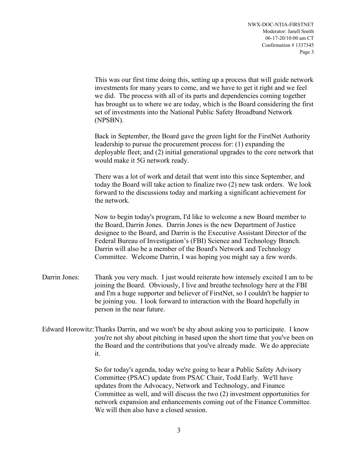This was our first time doing this, setting up a process that will guide network investments for many years to come, and we have to get it right and we feel we did. The process with all of its parts and dependencies coming together has brought us to where we are today, which is the Board considering the first set of investments into the National Public Safety Broadband Network (NPSBN).

Back in September, the Board gave the green light for the FirstNet Authority leadership to pursue the procurement process for: (1) expanding the deployable fleet; and (2) initial generational upgrades to the core network that would make it 5G network ready.

There was a lot of work and detail that went into this since September, and today the Board will take action to finalize two (2) new task orders. We look forward to the discussions today and marking a significant achievement for the network.

Now to begin today's program, I'd like to welcome a new Board member to the Board, Darrin Jones. Darrin Jones is the new Department of Justice designee to the Board, and Darrin is the Executive Assistant Director of the Federal Bureau of Investigation's (FBI) Science and Technology Branch. Darrin will also be a member of the Board's Network and Technology Committee. Welcome Darrin, I was hoping you might say a few words.

- Darrin Jones: Thank you very much. I just would reiterate how intensely excited I am to be joining the Board. Obviously, I live and breathe technology here at the FBI and I'm a huge supporter and believer of FirstNet, so I couldn't be happier to be joining you. I look forward to interaction with the Board hopefully in person in the near future.
- Edward Horowitz:Thanks Darrin, and we won't be shy about asking you to participate. I know you're not shy about pitching in based upon the short time that you've been on the Board and the contributions that you've already made. We do appreciate it.

So for today's agenda, today we're going to hear a Public Safety Advisory Committee (PSAC) update from PSAC Chair, Todd Early. We'll have updates from the Advocacy, Network and Technology, and Finance Committee as well, and will discuss the two (2) investment opportunities for network expansion and enhancements coming out of the Finance Committee. We will then also have a closed session.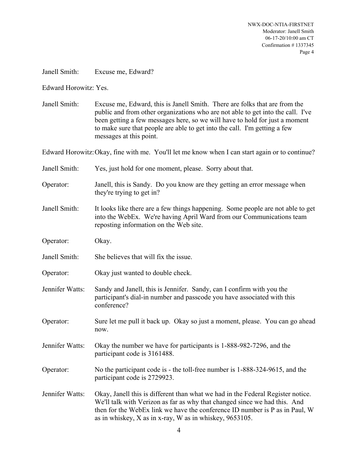Janell Smith: Excuse me, Edward?

Edward Horowitz: Yes.

Janell Smith: Excuse me, Edward, this is Janell Smith. There are folks that are from the public and from other organizations who are not able to get into the call. I've been getting a few messages here, so we will have to hold for just a moment to make sure that people are able to get into the call. I'm getting a few messages at this point.

Edward Horowitz:Okay, fine with me. You'll let me know when I can start again or to continue?

Janell Smith: Yes, just hold for one moment, please. Sorry about that. Operator: Janell, this is Sandy. Do you know are they getting an error message when they're trying to get in? Janell Smith: It looks like there are a few things happening. Some people are not able to get into the WebEx. We're having April Ward from our Communications team reposting information on the Web site. Operator: Okay. Janell Smith: She believes that will fix the issue. Operator: Okay just wanted to double check. Jennifer Watts: Sandy and Janell, this is Jennifer. Sandy, can I confirm with you the participant's dial-in number and passcode you have associated with this conference? Operator: Sure let me pull it back up. Okay so just a moment, please. You can go ahead now. Jennifer Watts: Okay the number we have for participants is 1-888-982-7296, and the participant code is 3161488. Operator: No the participant code is - the toll-free number is 1-888-324-9615, and the participant code is 2729923. Jennifer Watts: Okay, Janell this is different than what we had in the Federal Register notice. We'll talk with Verizon as far as why that changed since we had this. And then for the WebEx link we have the conference ID number is P as in Paul, W as in whiskey, X as in x-ray, W as in whiskey, 9653105.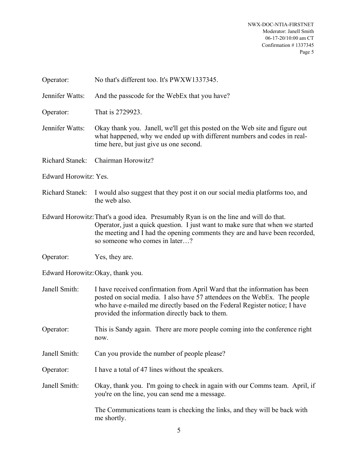| Operator:              | No that's different too. It's PWXW1337345.                                                                                                                                                                                                                                               |  |
|------------------------|------------------------------------------------------------------------------------------------------------------------------------------------------------------------------------------------------------------------------------------------------------------------------------------|--|
| Jennifer Watts:        | And the passcode for the WebEx that you have?                                                                                                                                                                                                                                            |  |
| Operator:              | That is 2729923.                                                                                                                                                                                                                                                                         |  |
| Jennifer Watts:        | Okay thank you. Janell, we'll get this posted on the Web site and figure out<br>what happened, why we ended up with different numbers and codes in real-<br>time here, but just give us one second.                                                                                      |  |
| <b>Richard Stanek:</b> | Chairman Horowitz?                                                                                                                                                                                                                                                                       |  |
| Edward Horowitz: Yes.  |                                                                                                                                                                                                                                                                                          |  |
| <b>Richard Stanek:</b> | I would also suggest that they post it on our social media platforms too, and<br>the web also.                                                                                                                                                                                           |  |
|                        | Edward Horowitz: That's a good idea. Presumably Ryan is on the line and will do that.<br>Operator, just a quick question. I just want to make sure that when we started<br>the meeting and I had the opening comments they are and have been recorded,<br>so someone who comes in later? |  |
| Operator:              | Yes, they are.                                                                                                                                                                                                                                                                           |  |
|                        | Edward Horowitz: Okay, thank you.                                                                                                                                                                                                                                                        |  |
| Janell Smith:          | I have received confirmation from April Ward that the information has been<br>posted on social media. I also have 57 attendees on the WebEx. The people<br>who have e-mailed me directly based on the Federal Register notice; I have<br>provided the information directly back to them. |  |
| Operator:              | This is Sandy again. There are more people coming into the conference right<br>now.                                                                                                                                                                                                      |  |
| Janell Smith:          | Can you provide the number of people please?                                                                                                                                                                                                                                             |  |
| Operator:              | I have a total of 47 lines without the speakers.                                                                                                                                                                                                                                         |  |
| Janell Smith:          | Okay, thank you. I'm going to check in again with our Comms team. April, if<br>you're on the line, you can send me a message.                                                                                                                                                            |  |
|                        | The Communications team is checking the links, and they will be back with<br>me shortly.                                                                                                                                                                                                 |  |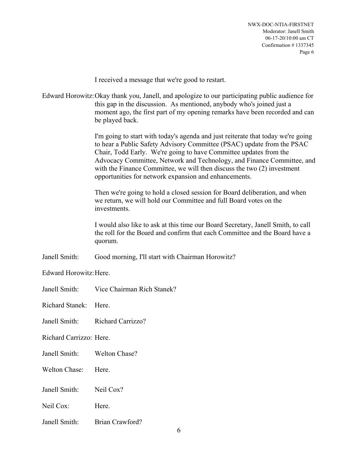I received a message that we're good to restart.

Edward Horowitz:Okay thank you, Janell, and apologize to our participating public audience for this gap in the discussion. As mentioned, anybody who's joined just a moment ago, the first part of my opening remarks have been recorded and can be played back.

> I'm going to start with today's agenda and just reiterate that today we're going to hear a Public Safety Advisory Committee (PSAC) update from the PSAC Chair, Todd Early. We're going to have Committee updates from the Advocacy Committee, Network and Technology, and Finance Committee, and with the Finance Committee, we will then discuss the two (2) investment opportunities for network expansion and enhancements.

Then we're going to hold a closed session for Board deliberation, and when we return, we will hold our Committee and full Board votes on the investments.

I would also like to ask at this time our Board Secretary, Janell Smith, to call the roll for the Board and confirm that each Committee and the Board have a quorum.

Janell Smith: Good morning, I'll start with Chairman Horowitz?

Edward Horowitz:Here.

Janell Smith: Vice Chairman Rich Stanek?

Richard Stanek: Here.

Janell Smith: Richard Carrizzo?

Richard Carrizzo: Here.

- Janell Smith: Welton Chase?
- Welton Chase: Here.
- Janell Smith: Neil Cox?
- Neil Cox: Here.
- Janell Smith: Brian Crawford?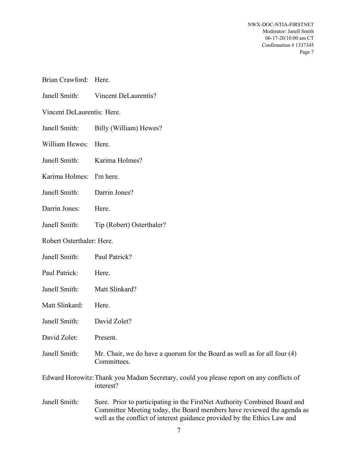| Brian Crawford: Here.      |                                                                                                                                                                                                                                 |
|----------------------------|---------------------------------------------------------------------------------------------------------------------------------------------------------------------------------------------------------------------------------|
| Janell Smith:              | Vincent DeLaurentis?                                                                                                                                                                                                            |
| Vincent DeLaurentis: Here. |                                                                                                                                                                                                                                 |
| Janell Smith:              | Billy (William) Hewes?                                                                                                                                                                                                          |
| William Hewes:             | Here.                                                                                                                                                                                                                           |
| Janell Smith:              | Karima Holmes?                                                                                                                                                                                                                  |
| Karima Holmes:             | I'm here.                                                                                                                                                                                                                       |
| Janell Smith:              | Darrin Jones?                                                                                                                                                                                                                   |
| Darrin Jones:              | Here.                                                                                                                                                                                                                           |
| Janell Smith:              | Tip (Robert) Osterthaler?                                                                                                                                                                                                       |
| Robert Osterthaler: Here.  |                                                                                                                                                                                                                                 |
| Janell Smith:              | Paul Patrick?                                                                                                                                                                                                                   |
| Paul Patrick:              | Here.                                                                                                                                                                                                                           |
| Janell Smith:              | Matt Slinkard?                                                                                                                                                                                                                  |
| Matt Slinkard:             | Here.                                                                                                                                                                                                                           |
| Janell Smith:              | David Zolet?                                                                                                                                                                                                                    |
| David Zolet:               | Present.                                                                                                                                                                                                                        |
| Janell Smith:              | Mr. Chair, we do have a quorum for the Board as well as for all four $(4)$<br>Committees.                                                                                                                                       |
|                            | Edward Horowitz: Thank you Madam Secretary, could you please report on any conflicts of<br>interest?                                                                                                                            |
| Janell Smith:              | Sure. Prior to participating in the FirstNet Authority Combined Board and<br>Committee Meeting today, the Board members have reviewed the agenda as<br>well as the conflict of interest guidance provided by the Ethics Law and |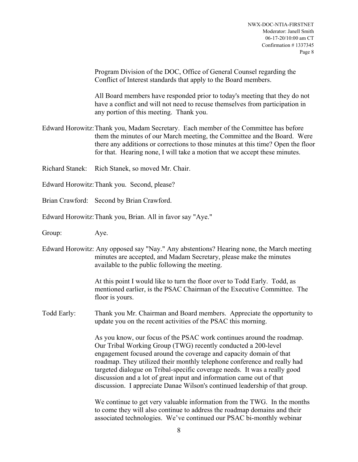Program Division of the DOC, Office of General Counsel regarding the Conflict of Interest standards that apply to the Board members.

All Board members have responded prior to today's meeting that they do not have a conflict and will not need to recuse themselves from participation in any portion of this meeting. Thank you.

- Edward Horowitz:Thank you, Madam Secretary. Each member of the Committee has before them the minutes of our March meeting, the Committee and the Board. Were there any additions or corrections to those minutes at this time? Open the floor for that. Hearing none, I will take a motion that we accept these minutes.
- Richard Stanek: Rich Stanek, so moved Mr. Chair.
- Edward Horowitz:Thank you. Second, please?
- Brian Crawford: Second by Brian Crawford.
- Edward Horowitz:Thank you, Brian. All in favor say "Aye."
- Group: Aye.
- Edward Horowitz: Any opposed say "Nay." Any abstentions? Hearing none, the March meeting minutes are accepted, and Madam Secretary, please make the minutes available to the public following the meeting.

At this point I would like to turn the floor over to Todd Early. Todd, as mentioned earlier, is the PSAC Chairman of the Executive Committee. The floor is yours.

Todd Early: Thank you Mr. Chairman and Board members. Appreciate the opportunity to update you on the recent activities of the PSAC this morning.

> As you know, our focus of the PSAC work continues around the roadmap. Our Tribal Working Group (TWG) recently conducted a 200-level engagement focused around the coverage and capacity domain of that roadmap. They utilized their monthly telephone conference and really had targeted dialogue on Tribal-specific coverage needs. It was a really good discussion and a lot of great input and information came out of that discussion. I appreciate Danae Wilson's continued leadership of that group.

We continue to get very valuable information from the TWG. In the months to come they will also continue to address the roadmap domains and their associated technologies. We've continued our PSAC bi-monthly webinar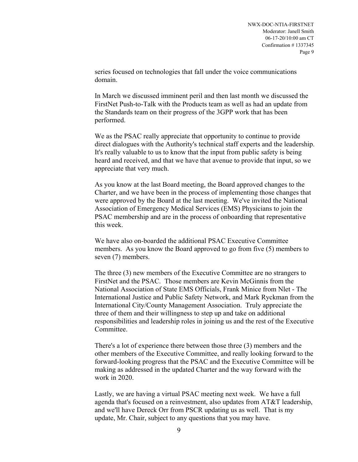series focused on technologies that fall under the voice communications domain.

In March we discussed imminent peril and then last month we discussed the FirstNet Push-to-Talk with the Products team as well as had an update from the Standards team on their progress of the 3GPP work that has been performed.

We as the PSAC really appreciate that opportunity to continue to provide direct dialogues with the Authority's technical staff experts and the leadership. It's really valuable to us to know that the input from public safety is being heard and received, and that we have that avenue to provide that input, so we appreciate that very much.

As you know at the last Board meeting, the Board approved changes to the Charter, and we have been in the process of implementing those changes that were approved by the Board at the last meeting. We've invited the National Association of Emergency Medical Services (EMS) Physicians to join the PSAC membership and are in the process of onboarding that representative this week.

We have also on-boarded the additional PSAC Executive Committee members. As you know the Board approved to go from five (5) members to seven (7) members.

The three (3) new members of the Executive Committee are no strangers to FirstNet and the PSAC. Those members are Kevin McGinnis from the National Association of State EMS Officials, Frank Minice from Nlet - The International Justice and Public Safety Network, and Mark Ryckman from the International City/County Management Association. Truly appreciate the three of them and their willingness to step up and take on additional responsibilities and leadership roles in joining us and the rest of the Executive Committee.

There's a lot of experience there between those three (3) members and the other members of the Executive Committee, and really looking forward to the forward-looking progress that the PSAC and the Executive Committee will be making as addressed in the updated Charter and the way forward with the work in 2020.

Lastly, we are having a virtual PSAC meeting next week. We have a full agenda that's focused on a reinvestment, also updates from AT&T leadership, and we'll have Dereck Orr from PSCR updating us as well. That is my update, Mr. Chair, subject to any questions that you may have.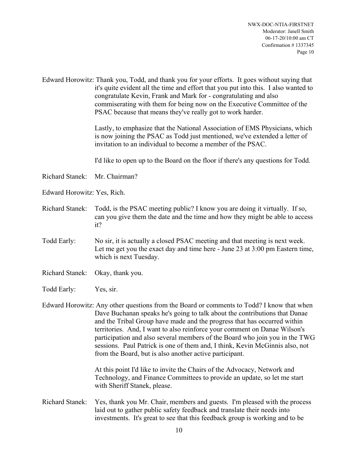Edward Horowitz: Thank you, Todd, and thank you for your efforts. It goes without saying that it's quite evident all the time and effort that you put into this. I also wanted to congratulate Kevin, Frank and Mark for - congratulating and also commiserating with them for being now on the Executive Committee of the PSAC because that means they've really got to work harder.

> Lastly, to emphasize that the National Association of EMS Physicians, which is now joining the PSAC as Todd just mentioned, we've extended a letter of invitation to an individual to become a member of the PSAC.

> I'd like to open up to the Board on the floor if there's any questions for Todd.

Richard Stanek: Mr. Chairman?

Edward Horowitz: Yes, Rich.

- Richard Stanek: Todd, is the PSAC meeting public? I know you are doing it virtually. If so, can you give them the date and the time and how they might be able to access it?
- Todd Early: No sir, it is actually a closed PSAC meeting and that meeting is next week. Let me get you the exact day and time here - June 23 at 3:00 pm Eastern time, which is next Tuesday.
- Richard Stanek: Okay, thank you.
- Todd Early: Yes, sir.

Edward Horowitz: Any other questions from the Board or comments to Todd? I know that when Dave Buchanan speaks he's going to talk about the contributions that Danae and the Tribal Group have made and the progress that has occurred within territories. And, I want to also reinforce your comment on Danae Wilson's participation and also several members of the Board who join you in the TWG sessions. Paul Patrick is one of them and, I think, Kevin McGinnis also, not from the Board, but is also another active participant.

> At this point I'd like to invite the Chairs of the Advocacy, Network and Technology, and Finance Committees to provide an update, so let me start with Sheriff Stanek, please.

Richard Stanek: Yes, thank you Mr. Chair, members and guests. I'm pleased with the process laid out to gather public safety feedback and translate their needs into investments. It's great to see that this feedback group is working and to be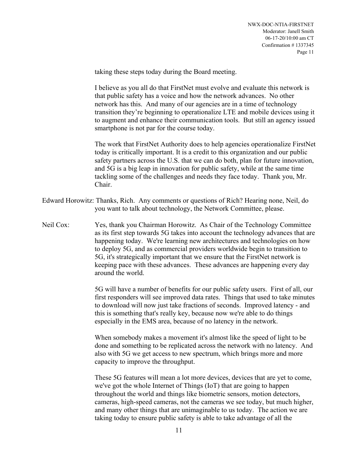taking these steps today during the Board meeting.

I believe as you all do that FirstNet must evolve and evaluate this network is that public safety has a voice and how the network advances. No other network has this. And many of our agencies are in a time of technology transition they're beginning to operationalize LTE and mobile devices using it to augment and enhance their communication tools. But still an agency issued smartphone is not par for the course today.

The work that FirstNet Authority does to help agencies operationalize FirstNet today is critically important. It is a credit to this organization and our public safety partners across the U.S. that we can do both, plan for future innovation, and 5G is a big leap in innovation for public safety, while at the same time tackling some of the challenges and needs they face today. Thank you, Mr. Chair.

- Edward Horowitz: Thanks, Rich. Any comments or questions of Rich? Hearing none, Neil, do you want to talk about technology, the Network Committee, please.
- Neil Cox: Yes, thank you Chairman Horowitz. As Chair of the Technology Committee as its first step towards 5G takes into account the technology advances that are happening today. We're learning new architectures and technologies on how to deploy 5G, and as commercial providers worldwide begin to transition to 5G, it's strategically important that we ensure that the FirstNet network is keeping pace with these advances. These advances are happening every day around the world.

5G will have a number of benefits for our public safety users. First of all, our first responders will see improved data rates. Things that used to take minutes to download will now just take fractions of seconds. Improved latency - and this is something that's really key, because now we're able to do things especially in the EMS area, because of no latency in the network.

When somebody makes a movement it's almost like the speed of light to be done and something to be replicated across the network with no latency. And also with 5G we get access to new spectrum, which brings more and more capacity to improve the throughput.

These 5G features will mean a lot more devices, devices that are yet to come, we've got the whole Internet of Things (IoT) that are going to happen throughout the world and things like biometric sensors, motion detectors, cameras, high-speed cameras, not the cameras we see today, but much higher, and many other things that are unimaginable to us today. The action we are taking today to ensure public safety is able to take advantage of all the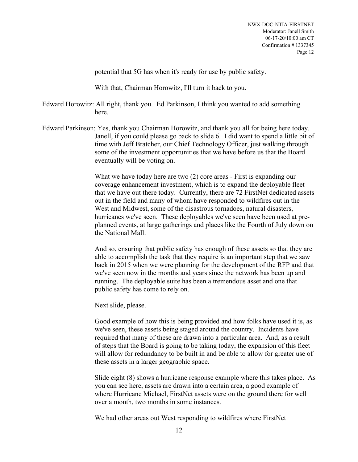potential that 5G has when it's ready for use by public safety.

With that, Chairman Horowitz, I'll turn it back to you.

Edward Horowitz: All right, thank you. Ed Parkinson, I think you wanted to add something here.

Edward Parkinson: Yes, thank you Chairman Horowitz, and thank you all for being here today. Janell, if you could please go back to slide 6. I did want to spend a little bit of time with Jeff Bratcher, our Chief Technology Officer, just walking through some of the investment opportunities that we have before us that the Board eventually will be voting on.

> What we have today here are two (2) core areas - First is expanding our coverage enhancement investment, which is to expand the deployable fleet that we have out there today. Currently, there are 72 FirstNet dedicated assets out in the field and many of whom have responded to wildfires out in the West and Midwest, some of the disastrous tornadoes, natural disasters, hurricanes we've seen. These deployables we've seen have been used at preplanned events, at large gatherings and places like the Fourth of July down on the National Mall.

> And so, ensuring that public safety has enough of these assets so that they are able to accomplish the task that they require is an important step that we saw back in 2015 when we were planning for the development of the RFP and that we've seen now in the months and years since the network has been up and running. The deployable suite has been a tremendous asset and one that public safety has come to rely on.

Next slide, please.

Good example of how this is being provided and how folks have used it is, as we've seen, these assets being staged around the country. Incidents have required that many of these are drawn into a particular area. And, as a result of steps that the Board is going to be taking today, the expansion of this fleet will allow for redundancy to be built in and be able to allow for greater use of these assets in a larger geographic space.

Slide eight (8) shows a hurricane response example where this takes place. As you can see here, assets are drawn into a certain area, a good example of where Hurricane Michael, FirstNet assets were on the ground there for well over a month, two months in some instances.

We had other areas out West responding to wildfires where FirstNet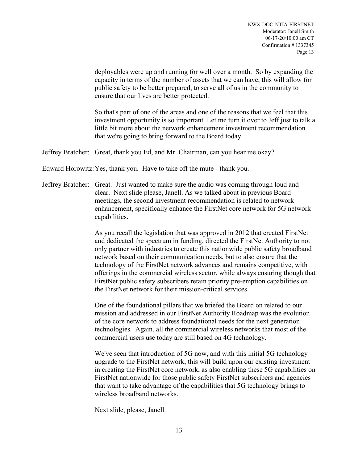deployables were up and running for well over a month. So by expanding the capacity in terms of the number of assets that we can have, this will allow for public safety to be better prepared, to serve all of us in the community to ensure that our lives are better protected.

So that's part of one of the areas and one of the reasons that we feel that this investment opportunity is so important. Let me turn it over to Jeff just to talk a little bit more about the network enhancement investment recommendation that we're going to bring forward to the Board today.

Jeffrey Bratcher: Great, thank you Ed, and Mr. Chairman, can you hear me okay?

Edward Horowitz:Yes, thank you. Have to take off the mute - thank you.

Jeffrey Bratcher: Great. Just wanted to make sure the audio was coming through loud and clear. Next slide please, Janell. As we talked about in previous Board meetings, the second investment recommendation is related to network enhancement, specifically enhance the FirstNet core network for 5G network capabilities.

> As you recall the legislation that was approved in 2012 that created FirstNet and dedicated the spectrum in funding, directed the FirstNet Authority to not only partner with industries to create this nationwide public safety broadband network based on their communication needs, but to also ensure that the technology of the FirstNet network advances and remains competitive, with offerings in the commercial wireless sector, while always ensuring though that FirstNet public safety subscribers retain priority pre-emption capabilities on the FirstNet network for their mission-critical services.

One of the foundational pillars that we briefed the Board on related to our mission and addressed in our FirstNet Authority Roadmap was the evolution of the core network to address foundational needs for the next generation technologies. Again, all the commercial wireless networks that most of the commercial users use today are still based on 4G technology.

We've seen that introduction of 5G now, and with this initial 5G technology upgrade to the FirstNet network, this will build upon our existing investment in creating the FirstNet core network, as also enabling these 5G capabilities on FirstNet nationwide for those public safety FirstNet subscribers and agencies that want to take advantage of the capabilities that 5G technology brings to wireless broadband networks.

Next slide, please, Janell.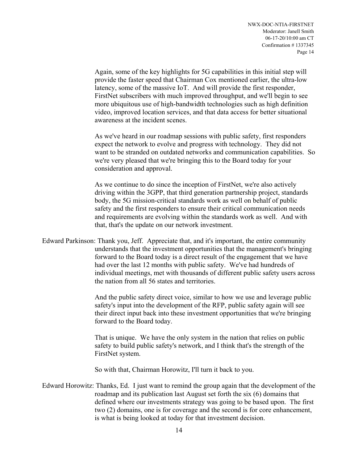Again, some of the key highlights for 5G capabilities in this initial step will provide the faster speed that Chairman Cox mentioned earlier, the ultra-low latency, some of the massive IoT. And will provide the first responder, FirstNet subscribers with much improved throughput, and we'll begin to see more ubiquitous use of high-bandwidth technologies such as high definition video, improved location services, and that data access for better situational awareness at the incident scenes.

As we've heard in our roadmap sessions with public safety, first responders expect the network to evolve and progress with technology. They did not want to be stranded on outdated networks and communication capabilities. So we're very pleased that we're bringing this to the Board today for your consideration and approval.

As we continue to do since the inception of FirstNet, we're also actively driving within the 3GPP, that third generation partnership project, standards body, the 5G mission-critical standards work as well on behalf of public safety and the first responders to ensure their critical communication needs and requirements are evolving within the standards work as well. And with that, that's the update on our network investment.

Edward Parkinson: Thank you, Jeff. Appreciate that, and it's important, the entire community understands that the investment opportunities that the management's bringing forward to the Board today is a direct result of the engagement that we have had over the last 12 months with public safety. We've had hundreds of individual meetings, met with thousands of different public safety users across the nation from all 56 states and territories.

> And the public safety direct voice, similar to how we use and leverage public safety's input into the development of the RFP, public safety again will see their direct input back into these investment opportunities that we're bringing forward to the Board today.

That is unique. We have the only system in the nation that relies on public safety to build public safety's network, and I think that's the strength of the FirstNet system.

So with that, Chairman Horowitz, I'll turn it back to you.

Edward Horowitz: Thanks, Ed. I just want to remind the group again that the development of the roadmap and its publication last August set forth the six (6) domains that defined where our investments strategy was going to be based upon. The first two (2) domains, one is for coverage and the second is for core enhancement, is what is being looked at today for that investment decision.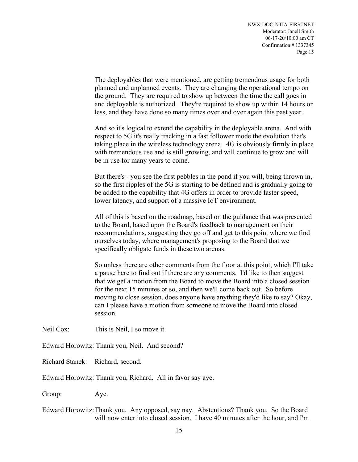The deployables that were mentioned, are getting tremendous usage for both planned and unplanned events. They are changing the operational tempo on the ground. They are required to show up between the time the call goes in and deployable is authorized. They're required to show up within 14 hours or less, and they have done so many times over and over again this past year.

And so it's logical to extend the capability in the deployable arena. And with respect to 5G it's really tracking in a fast follower mode the evolution that's taking place in the wireless technology arena. 4G is obviously firmly in place with tremendous use and is still growing, and will continue to grow and will be in use for many years to come.

But there's - you see the first pebbles in the pond if you will, being thrown in, so the first ripples of the 5G is starting to be defined and is gradually going to be added to the capability that 4G offers in order to provide faster speed, lower latency, and support of a massive IoT environment.

All of this is based on the roadmap, based on the guidance that was presented to the Board, based upon the Board's feedback to management on their recommendations, suggesting they go off and get to this point where we find ourselves today, where management's proposing to the Board that we specifically obligate funds in these two arenas.

So unless there are other comments from the floor at this point, which I'll take a pause here to find out if there are any comments. I'd like to then suggest that we get a motion from the Board to move the Board into a closed session for the next 15 minutes or so, and then we'll come back out. So before moving to close session, does anyone have anything they'd like to say? Okay, can I please have a motion from someone to move the Board into closed session.

Neil Cox: This is Neil, I so move it.

Edward Horowitz: Thank you, Neil. And second?

Richard Stanek: Richard, second.

Edward Horowitz: Thank you, Richard. All in favor say aye.

Group: Aye.

Edward Horowitz:Thank you. Any opposed, say nay. Abstentions? Thank you. So the Board will now enter into closed session. I have 40 minutes after the hour, and I'm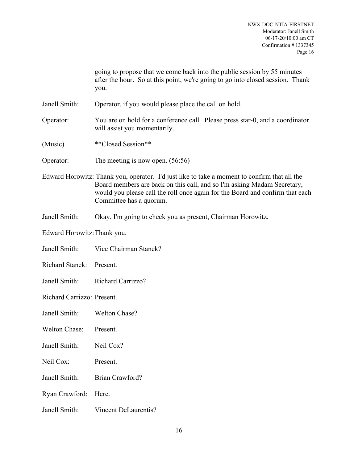going to propose that we come back into the public session by 55 minutes after the hour. So at this point, we're going to go into closed session. Thank you.

Janell Smith: Operator, if you would please place the call on hold.

- Operator: You are on hold for a conference call. Please press star-0, and a coordinator will assist you momentarily.
- (Music) \*\*Closed Session\*\*
- Operator: The meeting is now open. (56:56)

Edward Horowitz: Thank you, operator. I'd just like to take a moment to confirm that all the Board members are back on this call, and so I'm asking Madam Secretary, would you please call the roll once again for the Board and confirm that each Committee has a quorum.

- Janell Smith: Okay, I'm going to check you as present, Chairman Horowitz.
- Edward Horowitz:Thank you.
- Janell Smith: Vice Chairman Stanek?
- Richard Stanek: Present.
- Janell Smith: Richard Carrizzo?

Richard Carrizzo: Present.

- Janell Smith: Welton Chase?
- Welton Chase: Present.
- Janell Smith: Neil Cox?
- Neil Cox: Present.
- Janell Smith: Brian Crawford?
- Ryan Crawford: Here.
- Janell Smith: Vincent DeLaurentis?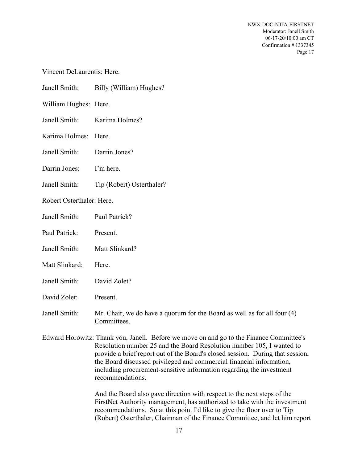Vincent DeLaurentis: Here.

| Billy (William) Hughes? | Janell Smith: |
|-------------------------|---------------|
|                         |               |

William Hughes: Here.

Janell Smith: Karima Holmes?

Karima Holmes: Here.

Janell Smith: Darrin Jones?

Darrin Jones: I'm here.

Janell Smith: Tip (Robert) Osterthaler?

Robert Osterthaler: Here.

Paul Patrick: Present.

- Janell Smith: Matt Slinkard?
- Matt Slinkard: Here.
- Janell Smith: David Zolet?

David Zolet: Present.

Janell Smith: Mr. Chair, we do have a quorum for the Board as well as for all four (4) Committees.

Edward Horowitz: Thank you, Janell. Before we move on and go to the Finance Committee's Resolution number 25 and the Board Resolution number 105, I wanted to provide a brief report out of the Board's closed session. During that session, the Board discussed privileged and commercial financial information, including procurement-sensitive information regarding the investment recommendations.

> And the Board also gave direction with respect to the next steps of the FirstNet Authority management, has authorized to take with the investment recommendations. So at this point I'd like to give the floor over to Tip (Robert) Osterthaler, Chairman of the Finance Committee, and let him report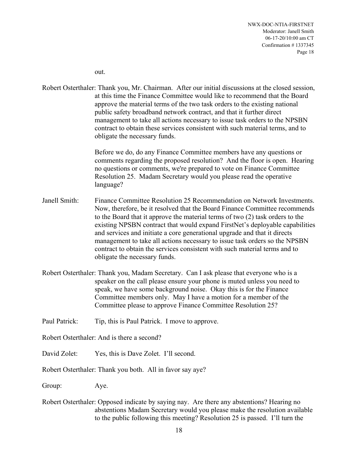out.

Robert Osterthaler: Thank you, Mr. Chairman. After our initial discussions at the closed session, at this time the Finance Committee would like to recommend that the Board approve the material terms of the two task orders to the existing national public safety broadband network contract, and that it further direct management to take all actions necessary to issue task orders to the NPSBN contract to obtain these services consistent with such material terms, and to obligate the necessary funds.

> Before we do, do any Finance Committee members have any questions or comments regarding the proposed resolution? And the floor is open. Hearing no questions or comments, we're prepared to vote on Finance Committee Resolution 25. Madam Secretary would you please read the operative language?

- Janell Smith: Finance Committee Resolution 25 Recommendation on Network Investments. Now, therefore, be it resolved that the Board Finance Committee recommends to the Board that it approve the material terms of two (2) task orders to the existing NPSBN contract that would expand FirstNet's deployable capabilities and services and initiate a core generational upgrade and that it directs management to take all actions necessary to issue task orders so the NPSBN contract to obtain the services consistent with such material terms and to obligate the necessary funds.
- Robert Osterthaler: Thank you, Madam Secretary. Can I ask please that everyone who is a speaker on the call please ensure your phone is muted unless you need to speak, we have some background noise. Okay this is for the Finance Committee members only. May I have a motion for a member of the Committee please to approve Finance Committee Resolution 25?
- Paul Patrick: Tip, this is Paul Patrick. I move to approve.
- Robert Osterthaler: And is there a second?
- David Zolet: Yes, this is Dave Zolet. I'll second.
- Robert Osterthaler: Thank you both. All in favor say aye?

Group: Aye.

Robert Osterthaler: Opposed indicate by saying nay. Are there any abstentions? Hearing no abstentions Madam Secretary would you please make the resolution available to the public following this meeting? Resolution 25 is passed. I'll turn the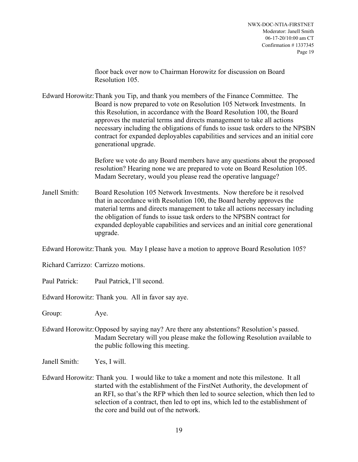floor back over now to Chairman Horowitz for discussion on Board Resolution 105.

Edward Horowitz:Thank you Tip, and thank you members of the Finance Committee. The Board is now prepared to vote on Resolution 105 Network Investments. In this Resolution, in accordance with the Board Resolution 100, the Board approves the material terms and directs management to take all actions necessary including the obligations of funds to issue task orders to the NPSBN contract for expanded deployables capabilities and services and an initial core generational upgrade.

> Before we vote do any Board members have any questions about the proposed resolution? Hearing none we are prepared to vote on Board Resolution 105. Madam Secretary, would you please read the operative language?

Janell Smith: Board Resolution 105 Network Investments. Now therefore be it resolved that in accordance with Resolution 100, the Board hereby approves the material terms and directs management to take all actions necessary including the obligation of funds to issue task orders to the NPSBN contract for expanded deployable capabilities and services and an initial core generational upgrade.

Edward Horowitz:Thank you. May I please have a motion to approve Board Resolution 105?

Richard Carrizzo: Carrizzo motions.

Paul Patrick: Paul Patrick, I'll second.

Edward Horowitz: Thank you. All in favor say aye.

Group: Aye.

- Edward Horowitz:Opposed by saying nay? Are there any abstentions? Resolution's passed. Madam Secretary will you please make the following Resolution available to the public following this meeting.
- Janell Smith: Yes, I will.
- Edward Horowitz: Thank you. I would like to take a moment and note this milestone. It all started with the establishment of the FirstNet Authority, the development of an RFI, so that's the RFP which then led to source selection, which then led to selection of a contract, then led to opt ins, which led to the establishment of the core and build out of the network.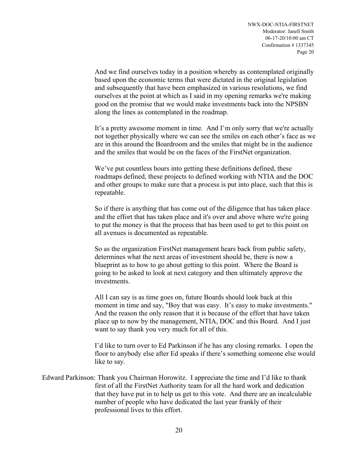And we find ourselves today in a position whereby as contemplated originally based upon the economic terms that were dictated in the original legislation and subsequently that have been emphasized in various resolutions, we find ourselves at the point at which as I said in my opening remarks we're making good on the promise that we would make investments back into the NPSBN along the lines as contemplated in the roadmap.

It's a pretty awesome moment in time. And I'm only sorry that we're actually not together physically where we can see the smiles on each other's face as we are in this around the Boardroom and the smiles that might be in the audience and the smiles that would be on the faces of the FirstNet organization.

We've put countless hours into getting these definitions defined, these roadmaps defined, these projects to defined working with NTIA and the DOC and other groups to make sure that a process is put into place, such that this is repeatable.

So if there is anything that has come out of the diligence that has taken place and the effort that has taken place and it's over and above where we're going to put the money is that the process that has been used to get to this point on all avenues is documented as repeatable.

So as the organization FirstNet management hears back from public safety, determines what the next areas of investment should be, there is now a blueprint as to how to go about getting to this point. Where the Board is going to be asked to look at next category and then ultimately approve the investments.

All I can say is as time goes on, future Boards should look back at this moment in time and say, "Boy that was easy. It's easy to make investments." And the reason the only reason that it is because of the effort that have taken place up to now by the management, NTIA, DOC and this Board. And I just want to say thank you very much for all of this.

I'd like to turn over to Ed Parkinson if he has any closing remarks. I open the floor to anybody else after Ed speaks if there's something someone else would like to say.

Edward Parkinson: Thank you Chairman Horowitz. I appreciate the time and I'd like to thank first of all the FirstNet Authority team for all the hard work and dedication that they have put in to help us get to this vote. And there are an incalculable number of people who have dedicated the last year frankly of their professional lives to this effort.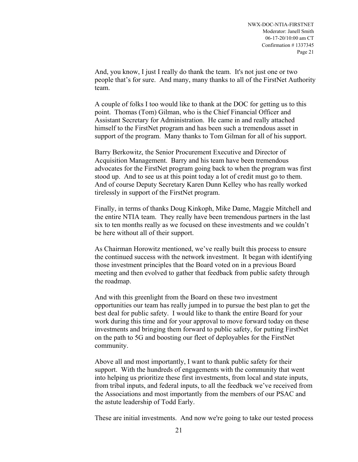And, you know, I just I really do thank the team. It's not just one or two people that's for sure. And many, many thanks to all of the FirstNet Authority team.

A couple of folks I too would like to thank at the DOC for getting us to this point. Thomas (Tom) Gilman, who is the Chief Financial Officer and Assistant Secretary for Administration. He came in and really attached himself to the FirstNet program and has been such a tremendous asset in support of the program. Many thanks to Tom Gilman for all of his support.

Barry Berkowitz, the Senior Procurement Executive and Director of Acquisition Management. Barry and his team have been tremendous advocates for the FirstNet program going back to when the program was first stood up. And to see us at this point today a lot of credit must go to them. And of course Deputy Secretary Karen Dunn Kelley who has really worked tirelessly in support of the FirstNet program.

Finally, in terms of thanks Doug Kinkoph, Mike Dame, Maggie Mitchell and the entire NTIA team. They really have been tremendous partners in the last six to ten months really as we focused on these investments and we couldn't be here without all of their support.

As Chairman Horowitz mentioned, we've really built this process to ensure the continued success with the network investment. It began with identifying those investment principles that the Board voted on in a previous Board meeting and then evolved to gather that feedback from public safety through the roadmap.

And with this greenlight from the Board on these two investment opportunities our team has really jumped in to pursue the best plan to get the best deal for public safety. I would like to thank the entire Board for your work during this time and for your approval to move forward today on these investments and bringing them forward to public safety, for putting FirstNet on the path to 5G and boosting our fleet of deployables for the FirstNet community.

Above all and most importantly, I want to thank public safety for their support. With the hundreds of engagements with the community that went into helping us prioritize these first investments, from local and state inputs, from tribal inputs, and federal inputs, to all the feedback we've received from the Associations and most importantly from the members of our PSAC and the astute leadership of Todd Early.

These are initial investments. And now we're going to take our tested process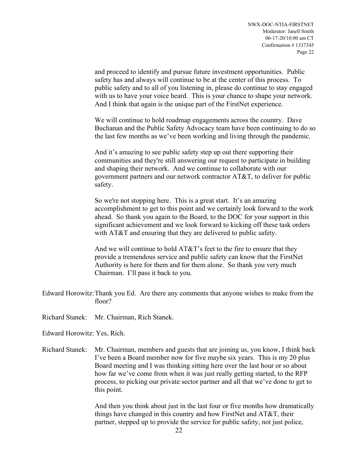and proceed to identify and pursue future investment opportunities. Public safety has and always will continue to be at the center of this process. To public safety and to all of you listening in, please do continue to stay engaged with us to have your voice heard. This is your chance to shape your network. And I think that again is the unique part of the FirstNet experience.

We will continue to hold roadmap engagements across the country. Dave Buchanan and the Public Safety Advocacy team have been continuing to do so the last few months as we've been working and living through the pandemic.

And it's amazing to see public safety step up out there supporting their communities and they're still answering our request to participate in building and shaping their network. And we continue to collaborate with our government partners and our network contractor AT&T, to deliver for public safety.

So we're not stopping here. This is a great start. It's an amazing accomplishment to get to this point and we certainly look forward to the work ahead. So thank you again to the Board, to the DOC for your support in this significant achievement and we look forward to kicking off these task orders with AT&T and ensuring that they are delivered to public safety.

And we will continue to hold AT&T's feet to the fire to ensure that they provide a tremendous service and public safety can know that the FirstNet Authority is here for them and for them alone. So thank you very much Chairman. I'll pass it back to you.

Edward Horowitz:Thank you Ed. Are there any comments that anyone wishes to make from the floor?

Richard Stanek: Mr. Chairman, Rich Stanek.

Edward Horowitz: Yes, Rich.

Richard Stanek: Mr. Chairman, members and guests that are joining us, you know, I think back I've been a Board member now for five maybe six years. This is my 20 plus Board meeting and I was thinking sitting here over the last hour or so about how far we've come from when it was just really getting started, to the RFP process, to picking our private sector partner and all that we've done to get to this point.

> And then you think about just in the last four or five months how dramatically things have changed in this country and how FirstNet and AT&T, their partner, stepped up to provide the service for public safety, not just police,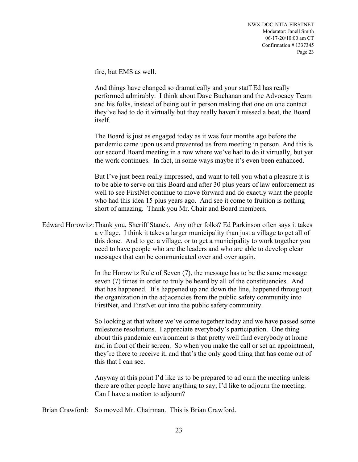fire, but EMS as well.

And things have changed so dramatically and your staff Ed has really performed admirably. I think about Dave Buchanan and the Advocacy Team and his folks, instead of being out in person making that one on one contact they've had to do it virtually but they really haven't missed a beat, the Board itself.

The Board is just as engaged today as it was four months ago before the pandemic came upon us and prevented us from meeting in person. And this is our second Board meeting in a row where we've had to do it virtually, but yet the work continues. In fact, in some ways maybe it's even been enhanced.

But I've just been really impressed, and want to tell you what a pleasure it is to be able to serve on this Board and after 30 plus years of law enforcement as well to see FirstNet continue to move forward and do exactly what the people who had this idea 15 plus years ago. And see it come to fruition is nothing short of amazing. Thank you Mr. Chair and Board members.

Edward Horowitz:Thank you, Sheriff Stanek. Any other folks? Ed Parkinson often says it takes a village. I think it takes a larger municipality than just a village to get all of this done. And to get a village, or to get a municipality to work together you need to have people who are the leaders and who are able to develop clear messages that can be communicated over and over again.

> In the Horowitz Rule of Seven (7), the message has to be the same message seven (7) times in order to truly be heard by all of the constituencies. And that has happened. It's happened up and down the line, happened throughout the organization in the adjacencies from the public safety community into FirstNet, and FirstNet out into the public safety community.

So looking at that where we've come together today and we have passed some milestone resolutions. I appreciate everybody's participation. One thing about this pandemic environment is that pretty well find everybody at home and in front of their screen. So when you make the call or set an appointment, they're there to receive it, and that's the only good thing that has come out of this that I can see.

Anyway at this point I'd like us to be prepared to adjourn the meeting unless there are other people have anything to say, I'd like to adjourn the meeting. Can I have a motion to adjourn?

Brian Crawford: So moved Mr. Chairman. This is Brian Crawford.